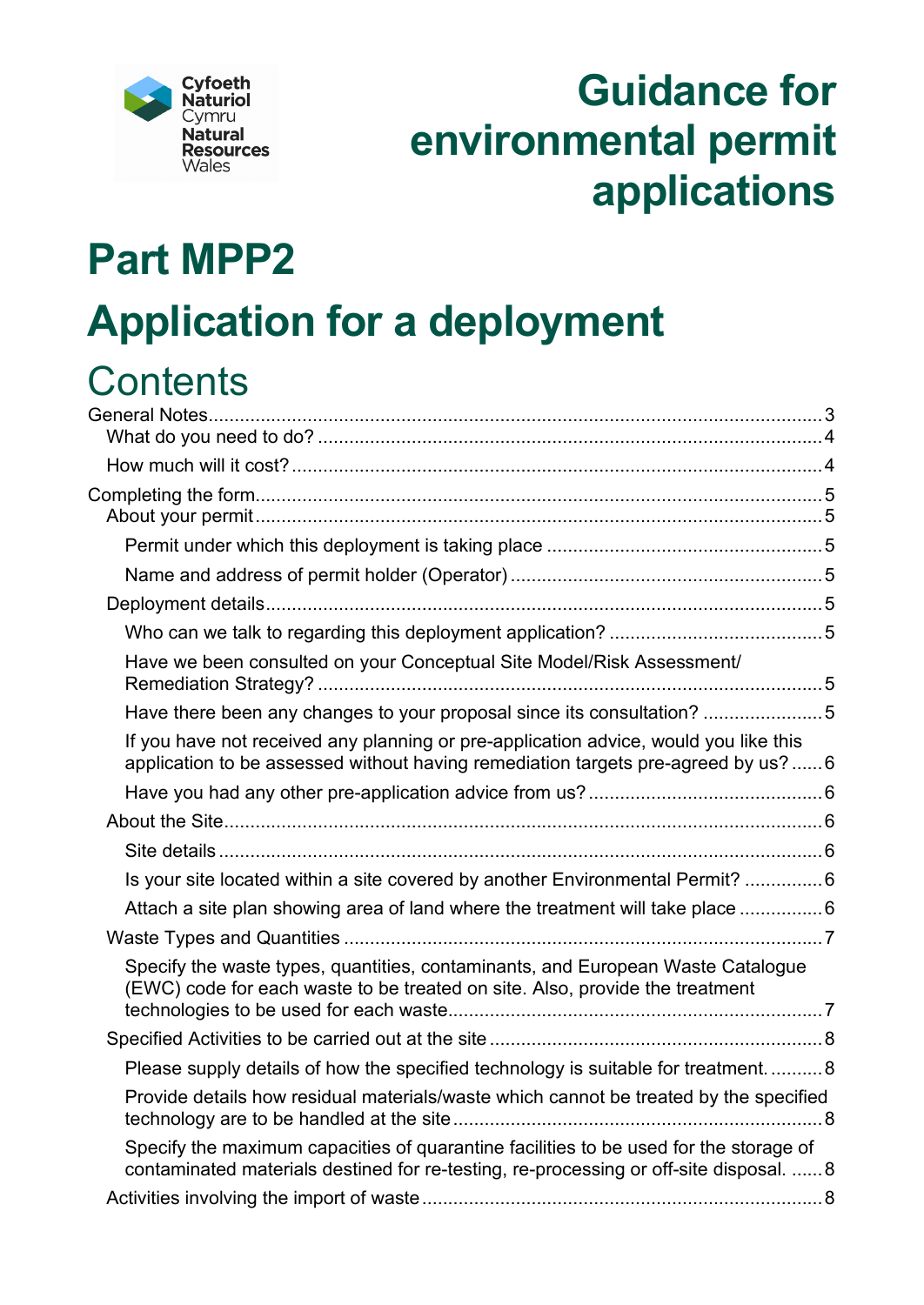

# **Guidance for environmental permit applications**

# **Part MPP2**

# **Application for a deployment**

## **Contents**

| Have we been consulted on your Conceptual Site Model/Risk Assessment/                                                                                                           |  |
|---------------------------------------------------------------------------------------------------------------------------------------------------------------------------------|--|
| Have there been any changes to your proposal since its consultation? 5                                                                                                          |  |
| If you have not received any planning or pre-application advice, would you like this<br>application to be assessed without having remediation targets pre-agreed by us?6        |  |
|                                                                                                                                                                                 |  |
|                                                                                                                                                                                 |  |
|                                                                                                                                                                                 |  |
| Is your site located within a site covered by another Environmental Permit?  6                                                                                                  |  |
| Attach a site plan showing area of land where the treatment will take place 6                                                                                                   |  |
|                                                                                                                                                                                 |  |
| Specify the waste types, quantities, contaminants, and European Waste Catalogue<br>(EWC) code for each waste to be treated on site. Also, provide the treatment                 |  |
|                                                                                                                                                                                 |  |
| Please supply details of how the specified technology is suitable for treatment8                                                                                                |  |
| Provide details how residual materials/waste which cannot be treated by the specified                                                                                           |  |
| Specify the maximum capacities of quarantine facilities to be used for the storage of<br>contaminated materials destined for re-testing, re-processing or off-site disposal.  8 |  |
|                                                                                                                                                                                 |  |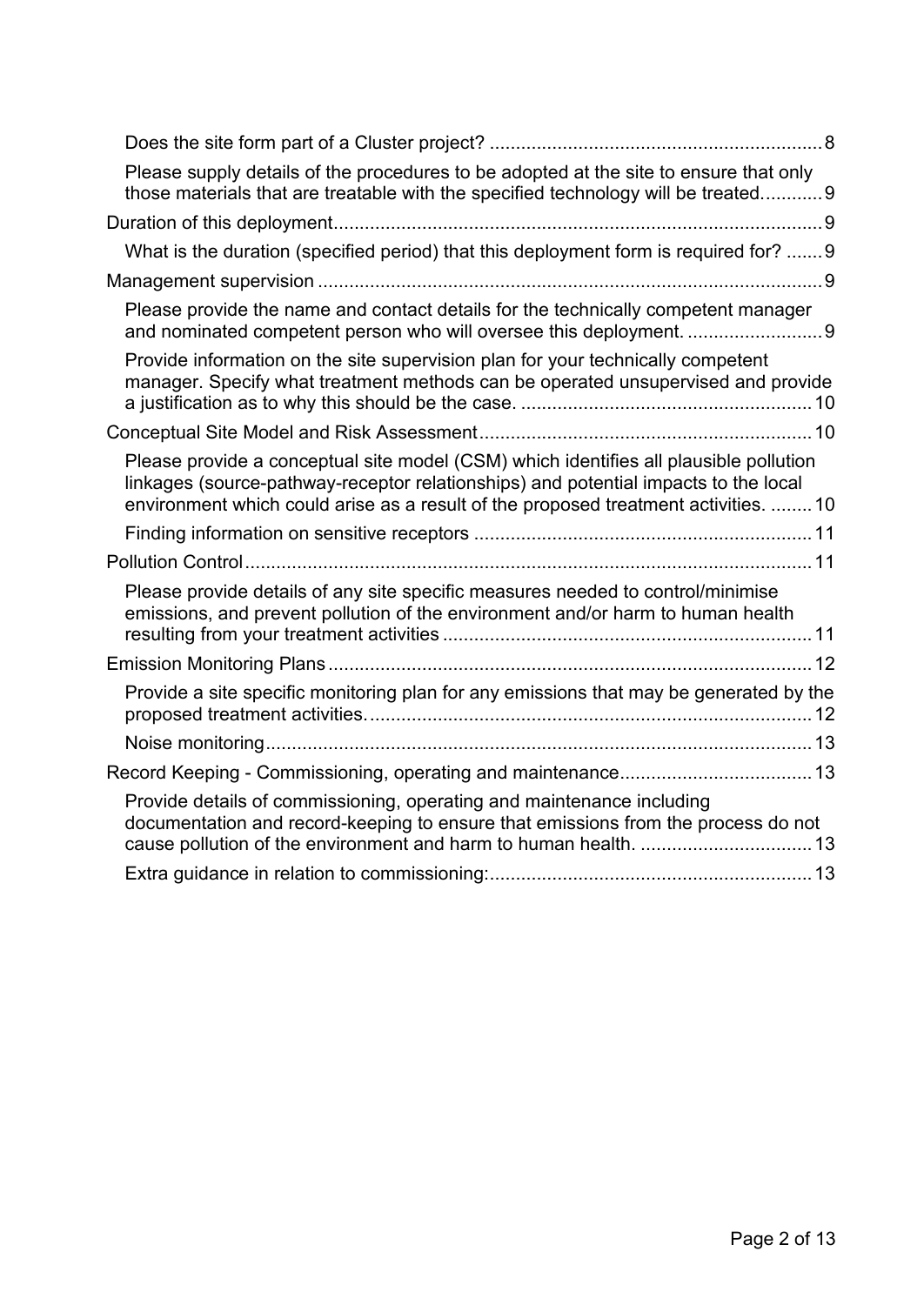| Please supply details of the procedures to be adopted at the site to ensure that only<br>those materials that are treatable with the specified technology will be treated9                                                                                          |
|---------------------------------------------------------------------------------------------------------------------------------------------------------------------------------------------------------------------------------------------------------------------|
|                                                                                                                                                                                                                                                                     |
| What is the duration (specified period) that this deployment form is required for? 9                                                                                                                                                                                |
|                                                                                                                                                                                                                                                                     |
| Please provide the name and contact details for the technically competent manager                                                                                                                                                                                   |
| Provide information on the site supervision plan for your technically competent<br>manager. Specify what treatment methods can be operated unsupervised and provide                                                                                                 |
|                                                                                                                                                                                                                                                                     |
| Please provide a conceptual site model (CSM) which identifies all plausible pollution<br>linkages (source-pathway-receptor relationships) and potential impacts to the local<br>environment which could arise as a result of the proposed treatment activities.  10 |
|                                                                                                                                                                                                                                                                     |
|                                                                                                                                                                                                                                                                     |
| Please provide details of any site specific measures needed to control/minimise<br>emissions, and prevent pollution of the environment and/or harm to human health                                                                                                  |
|                                                                                                                                                                                                                                                                     |
| Provide a site specific monitoring plan for any emissions that may be generated by the                                                                                                                                                                              |
|                                                                                                                                                                                                                                                                     |
|                                                                                                                                                                                                                                                                     |
| Provide details of commissioning, operating and maintenance including<br>documentation and record-keeping to ensure that emissions from the process do not                                                                                                          |
|                                                                                                                                                                                                                                                                     |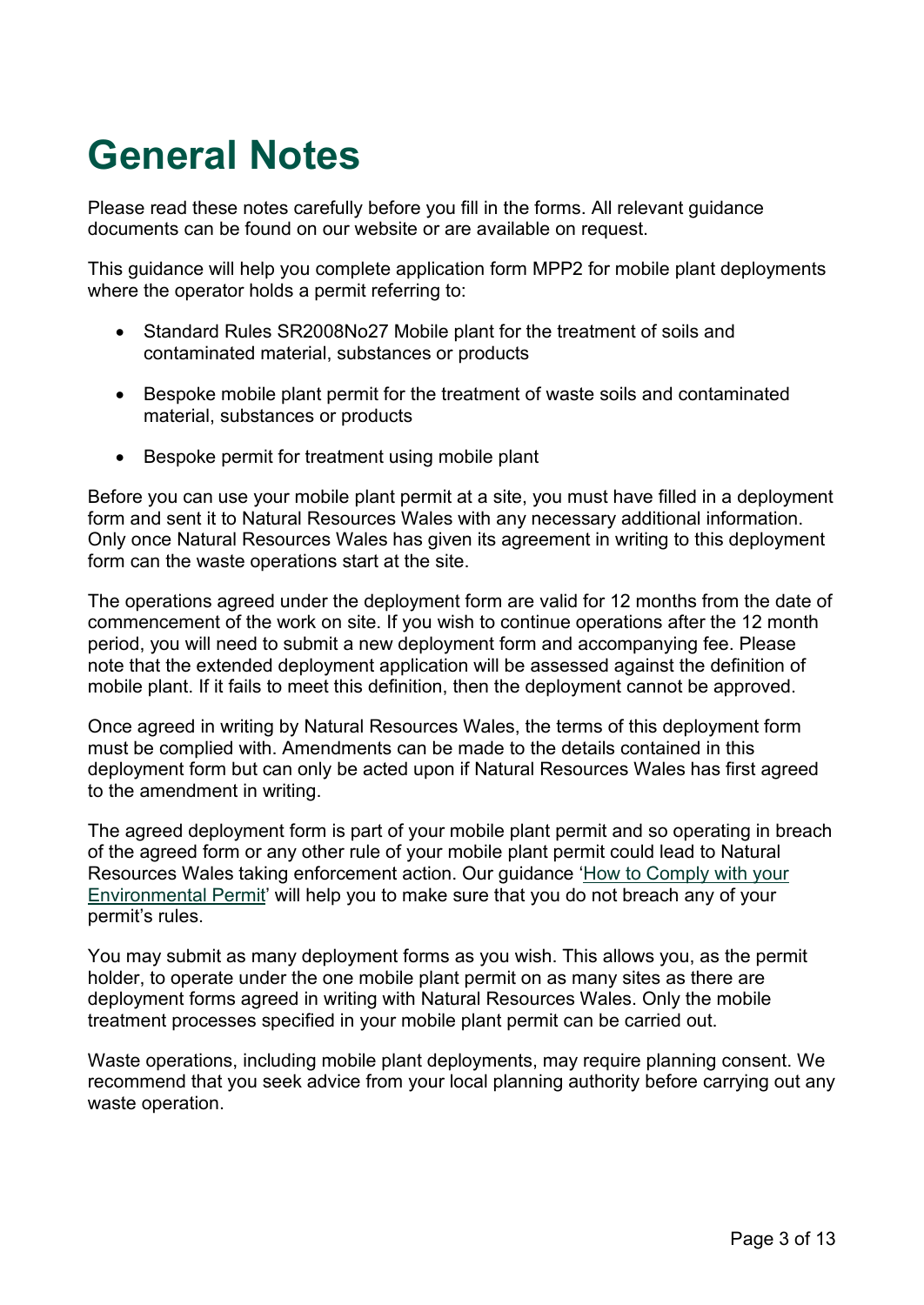## <span id="page-2-0"></span>**General Notes**

Please read these notes carefully before you fill in the forms. All relevant guidance documents can be found on our website or are available on request.

This guidance will help you complete application form MPP2 for mobile plant deployments where the operator holds a permit referring to:

- Standard Rules SR2008No27 Mobile plant for the treatment of soils and contaminated material, substances or products
- Bespoke mobile plant permit for the treatment of waste soils and contaminated material, substances or products
- Bespoke permit for treatment using mobile plant

Before you can use your mobile plant permit at a site, you must have filled in a deployment form and sent it to Natural Resources Wales with any necessary additional information. Only once Natural Resources Wales has given its agreement in writing to this deployment form can the waste operations start at the site.

The operations agreed under the deployment form are valid for 12 months from the date of commencement of the work on site. If you wish to continue operations after the 12 month period, you will need to submit a new deployment form and accompanying fee. Please note that the extended deployment application will be assessed against the definition of mobile plant. If it fails to meet this definition, then the deployment cannot be approved.

Once agreed in writing by Natural Resources Wales, the terms of this deployment form must be complied with. Amendments can be made to the details contained in this deployment form but can only be acted upon if Natural Resources Wales has first agreed to the amendment in writing.

The agreed deployment form is part of your mobile plant permit and so operating in breach of the agreed form or any other rule of your mobile plant permit could lead to Natural Resources Wales taking enforcement action. Our guidance ['How to Comply with your](https://naturalresources.wales/permits-and-permissions/environmental-permits/guidance-to-help-you-comply-with-your-environmental-permit/?lang=en)  [Environmental Permit'](https://naturalresources.wales/permits-and-permissions/environmental-permits/guidance-to-help-you-comply-with-your-environmental-permit/?lang=en) will help you to make sure that you do not breach any of your permit's rules.

You may submit as many deployment forms as you wish. This allows you, as the permit holder, to operate under the one mobile plant permit on as many sites as there are deployment forms agreed in writing with Natural Resources Wales. Only the mobile treatment processes specified in your mobile plant permit can be carried out.

Waste operations, including mobile plant deployments, may require planning consent. We recommend that you seek advice from your local planning authority before carrying out any waste operation.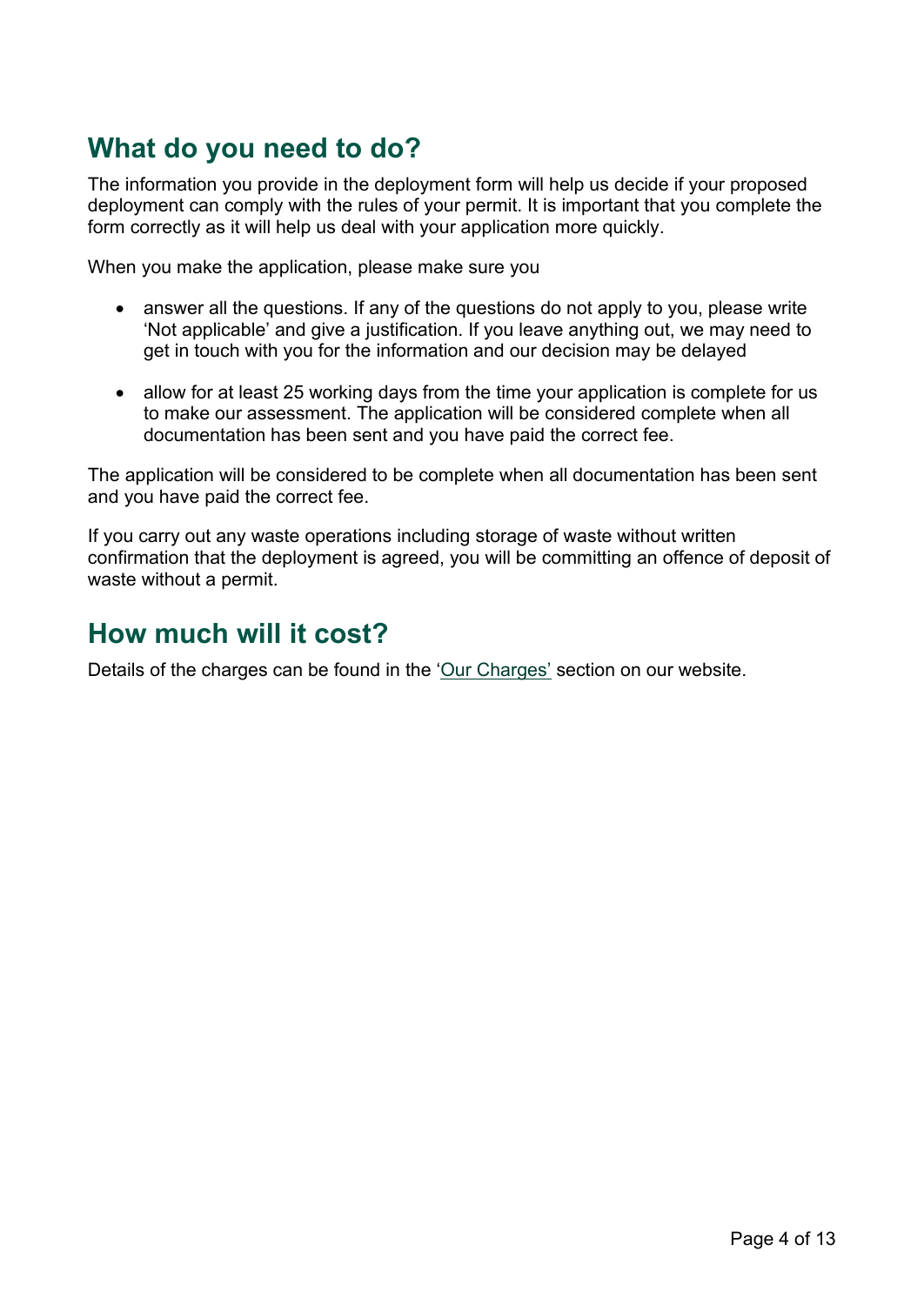## <span id="page-3-0"></span>**What do you need to do?**

The information you provide in the deployment form will help us decide if your proposed deployment can comply with the rules of your permit. It is important that you complete the form correctly as it will help us deal with your application more quickly.

When you make the application, please make sure you

- answer all the questions. If any of the questions do not apply to you, please write 'Not applicable' and give a justification. If you leave anything out, we may need to get in touch with you for the information and our decision may be delayed
- allow for at least 25 working days from the time your application is complete for us to make our assessment. The application will be considered complete when all documentation has been sent and you have paid the correct fee.

The application will be considered to be complete when all documentation has been sent and you have paid the correct fee.

If you carry out any waste operations including storage of waste without written confirmation that the deployment is agreed, you will be committing an offence of deposit of waste without a permit.

## <span id="page-3-1"></span>**How much will it cost?**

Details of the charges can be found in the ['Our Charges'](https://naturalresources.wales/about-us/what-we-do/how-we-regulate-you/our-charges/?lang=en) section on our website.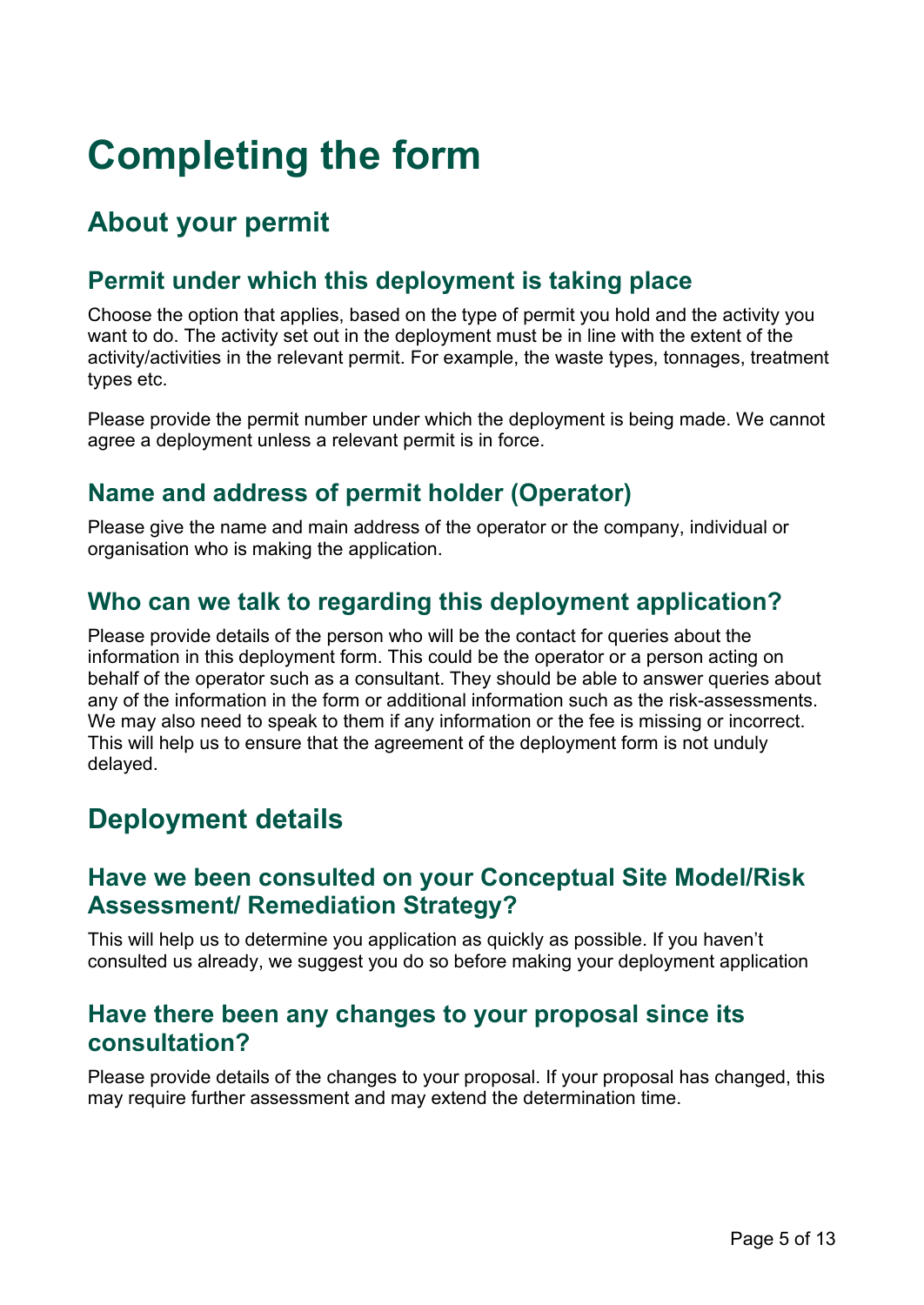# <span id="page-4-0"></span>**Completing the form**

## <span id="page-4-1"></span>**About your permit**

#### <span id="page-4-2"></span>**Permit under which this deployment is taking place**

Choose the option that applies, based on the type of permit you hold and the activity you want to do. The activity set out in the deployment must be in line with the extent of the activity/activities in the relevant permit. For example, the waste types, tonnages, treatment types etc.

Please provide the permit number under which the deployment is being made. We cannot agree a deployment unless a relevant permit is in force.

#### <span id="page-4-3"></span>**Name and address of permit holder (Operator)**

Please give the name and main address of the operator or the company, individual or organisation who is making the application.

#### <span id="page-4-5"></span>**Who can we talk to regarding this deployment application?**

Please provide details of the person who will be the contact for queries about the information in this deployment form. This could be the operator or a person acting on behalf of the operator such as a consultant. They should be able to answer queries about any of the information in the form or additional information such as the risk-assessments. We may also need to speak to them if any information or the fee is missing or incorrect. This will help us to ensure that the agreement of the deployment form is not unduly delayed.

## <span id="page-4-4"></span>**Deployment details**

#### **Have we been consulted on your Conceptual Site Model/Risk Assessment/ Remediation Strategy?**

This will help us to determine you application as quickly as possible. If you haven't consulted us already, we suggest you do so before making your deployment application

#### <span id="page-4-6"></span>**Have there been any changes to your proposal since its consultation?**

Please provide details of the changes to your proposal. If your proposal has changed, this may require further assessment and may extend the determination time.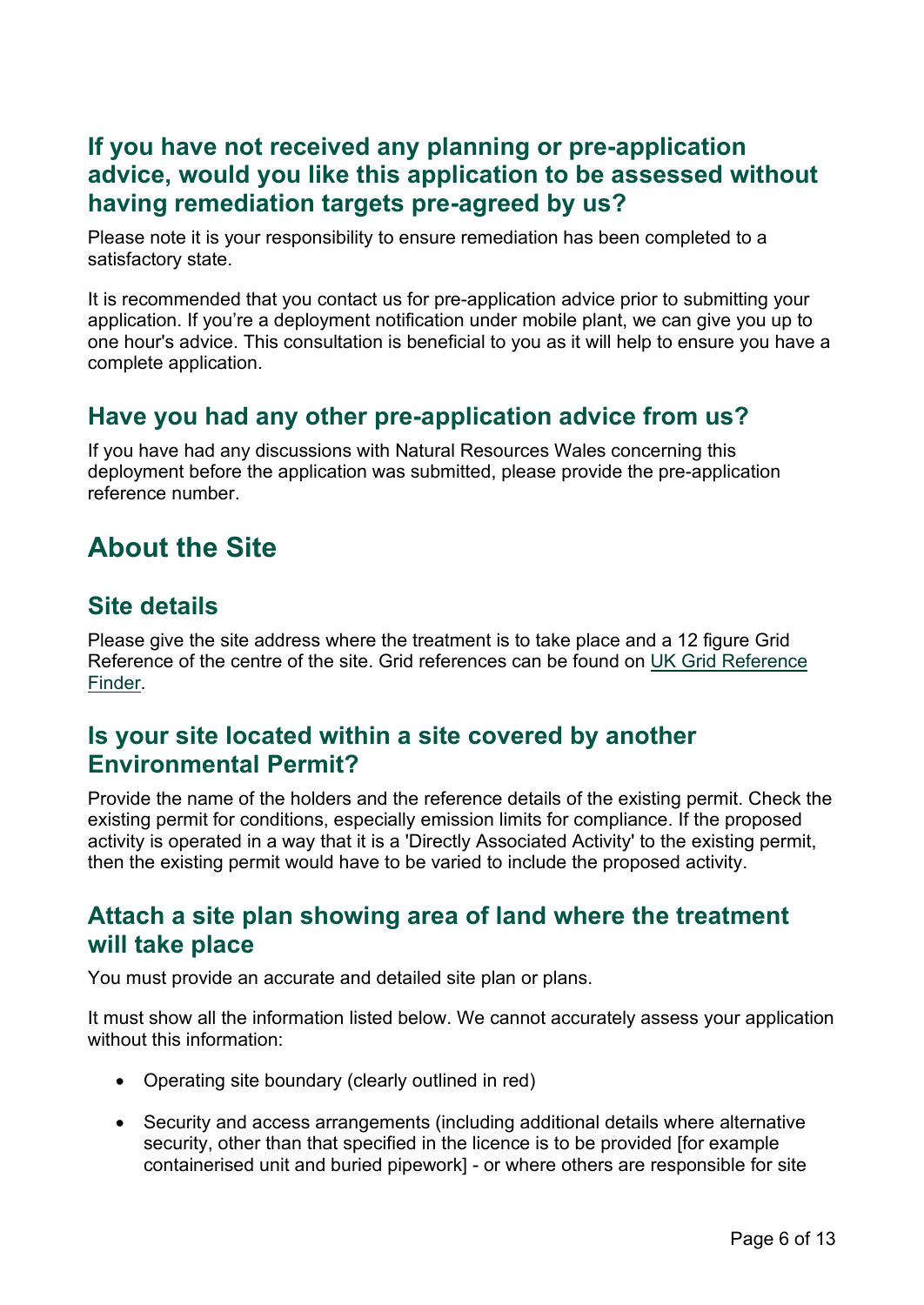#### <span id="page-5-0"></span>**If you have not received any planning or pre-application advice, would you like this application to be assessed without having remediation targets pre-agreed by us?**

Please note it is your responsibility to ensure remediation has been completed to a satisfactory state.

It is recommended that you contact us for pre-application advice prior to submitting your application. If you're a deployment notification under mobile plant, we can give you up to one hour's advice. This consultation is beneficial to you as it will help to ensure you have a complete application.

#### <span id="page-5-1"></span>**Have you had any other pre-application advice from us?**

If you have had any discussions with Natural Resources Wales concerning this deployment before the application was submitted, please provide the pre-application reference number.

## <span id="page-5-2"></span>**About the Site**

#### <span id="page-5-3"></span>**Site details**

Please give the site address where the treatment is to take place and a 12 figure Grid Reference of the centre of the site. Grid references can be found on [UK Grid Reference](http://www.gridreferencefinder.com/)  [Finder.](http://www.gridreferencefinder.com/)

#### <span id="page-5-4"></span>**Is your site located within a site covered by another Environmental Permit?**

Provide the name of the holders and the reference details of the existing permit. Check the existing permit for conditions, especially emission limits for compliance. If the proposed activity is operated in a way that it is a 'Directly Associated Activity' to the existing permit, then the existing permit would have to be varied to include the proposed activity.

#### <span id="page-5-5"></span>**Attach a site plan showing area of land where the treatment will take place**

You must provide an accurate and detailed site plan or plans.

It must show all the information listed below. We cannot accurately assess your application without this information:

- Operating site boundary (clearly outlined in red)
- Security and access arrangements (including additional details where alternative security, other than that specified in the licence is to be provided [for example containerised unit and buried pipework] - or where others are responsible for site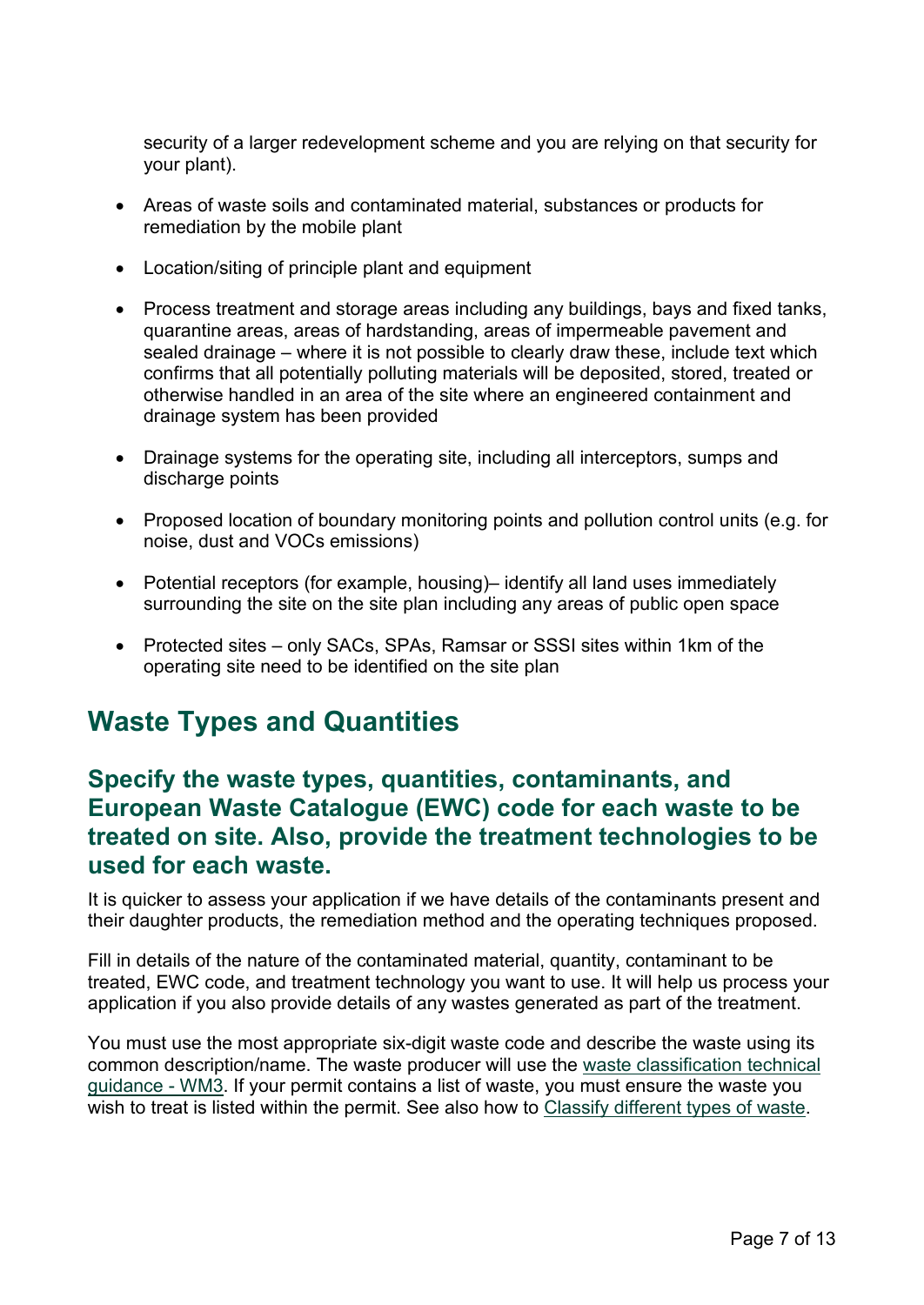security of a larger redevelopment scheme and you are relying on that security for your plant).

- Areas of waste soils and contaminated material, substances or products for remediation by the mobile plant
- Location/siting of principle plant and equipment
- Process treatment and storage areas including any buildings, bays and fixed tanks, quarantine areas, areas of hardstanding, areas of impermeable pavement and sealed drainage – where it is not possible to clearly draw these, include text which confirms that all potentially polluting materials will be deposited, stored, treated or otherwise handled in an area of the site where an engineered containment and drainage system has been provided
- Drainage systems for the operating site, including all interceptors, sumps and discharge points
- Proposed location of boundary monitoring points and pollution control units (e.g. for noise, dust and VOCs emissions)
- Potential receptors (for example, housing)– identify all land uses immediately surrounding the site on the site plan including any areas of public open space
- Protected sites only SACs, SPAs, Ramsar or SSSI sites within 1km of the operating site need to be identified on the site plan

### <span id="page-6-0"></span>**Waste Types and Quantities**

#### <span id="page-6-1"></span>**Specify the waste types, quantities, contaminants, and European Waste Catalogue (EWC) code for each waste to be treated on site. Also, provide the treatment technologies to be used for each waste.**

It is quicker to assess your application if we have details of the contaminants present and their daughter products, the remediation method and the operating techniques proposed.

Fill in details of the nature of the contaminated material, quantity, contaminant to be treated, EWC code, and treatment technology you want to use. It will help us process your application if you also provide details of any wastes generated as part of the treatment.

You must use the most appropriate six-digit waste code and describe the waste using its common description/name. The waste producer will use the [waste classification technical](https://www.gov.uk/government/publications/waste-classification-technical-guidance)  [guidance -](https://www.gov.uk/government/publications/waste-classification-technical-guidance) WM3. If your permit contains a list of waste, you must ensure the waste you wish to treat is listed within the permit. See also how to [Classify different types of waste.](https://www.gov.uk/how-to-classify-different-types-of-waste)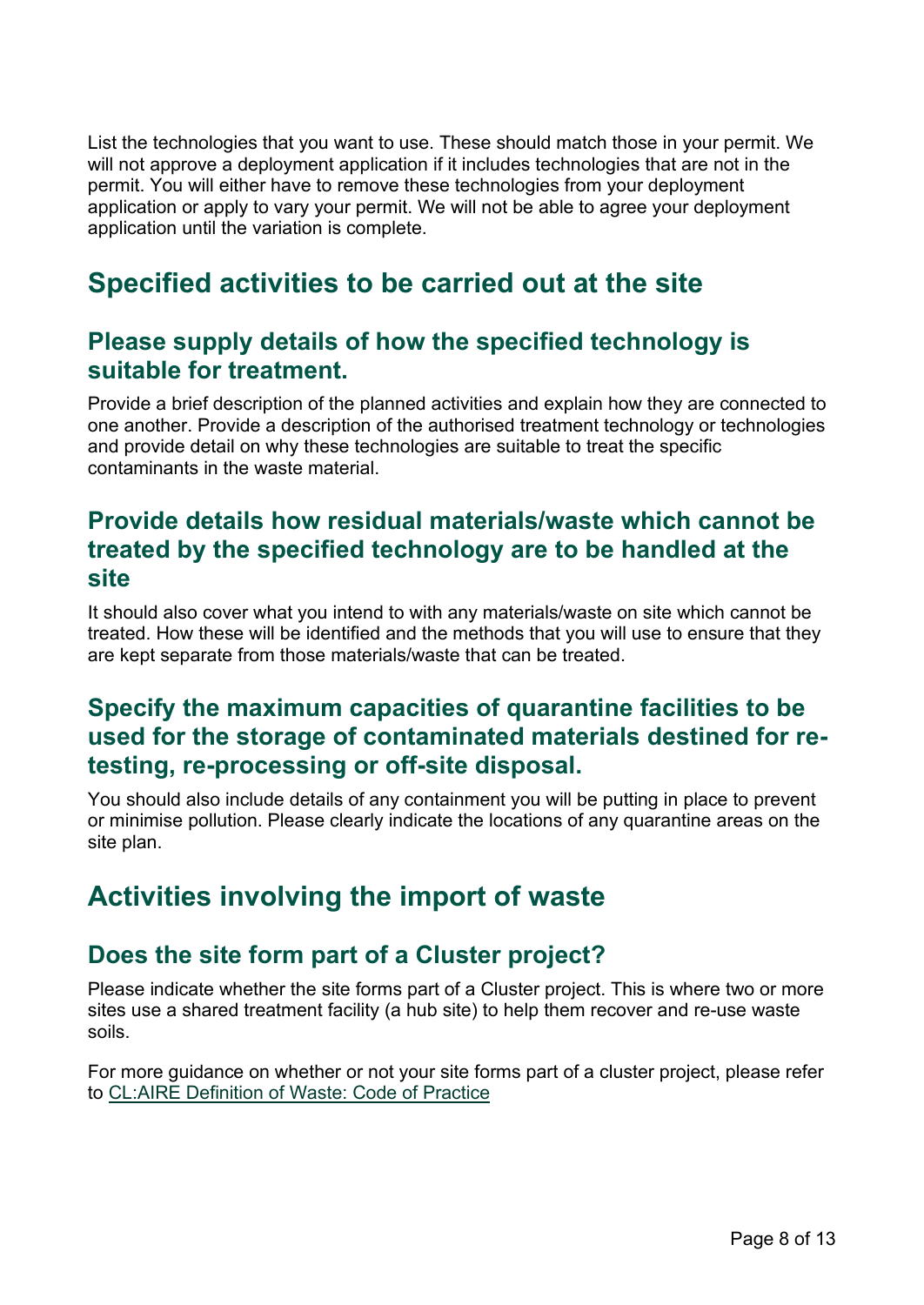List the technologies that you want to use. These should match those in your permit. We will not approve a deployment application if it includes technologies that are not in the permit. You will either have to remove these technologies from your deployment application or apply to vary your permit. We will not be able to agree your deployment application until the variation is complete.

## <span id="page-7-0"></span>**Specified activities to be carried out at the site**

#### <span id="page-7-1"></span>**Please supply details of how the specified technology is suitable for treatment.**

Provide a brief description of the planned activities and explain how they are connected to one another. Provide a description of the authorised treatment technology or technologies and provide detail on why these technologies are suitable to treat the specific contaminants in the waste material.

#### <span id="page-7-2"></span>**Provide details how residual materials/waste which cannot be treated by the specified technology are to be handled at the site**

It should also cover what you intend to with any materials/waste on site which cannot be treated. How these will be identified and the methods that you will use to ensure that they are kept separate from those materials/waste that can be treated.

#### <span id="page-7-3"></span>**Specify the maximum capacities of quarantine facilities to be used for the storage of contaminated materials destined for retesting, re-processing or off-site disposal.**

You should also include details of any containment you will be putting in place to prevent or minimise pollution. Please clearly indicate the locations of any quarantine areas on the site plan.

## <span id="page-7-4"></span>**Activities involving the import of waste**

#### <span id="page-7-5"></span>**Does the site form part of a Cluster project?**

Please indicate whether the site forms part of a Cluster project. This is where two or more sites use a shared treatment facility (a hub site) to help them recover and re-use waste soils.

For more guidance on whether or not your site forms part of a cluster project, please refer to [CL:AIRE Definition of Waste: Code of Practice](https://www.claire.co.uk/projects-and-initiatives/dow-cop)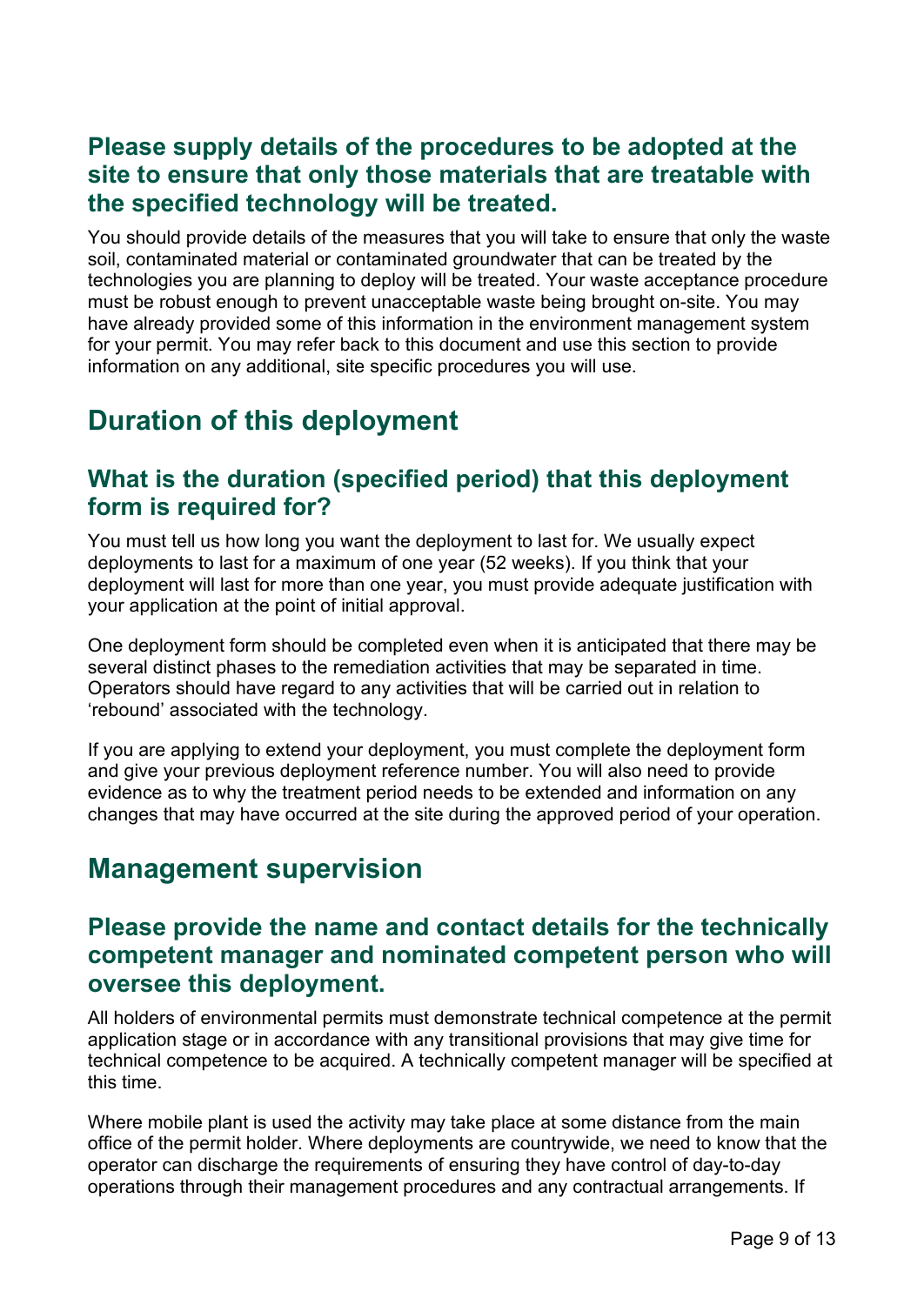#### <span id="page-8-0"></span>**Please supply details of the procedures to be adopted at the site to ensure that only those materials that are treatable with the specified technology will be treated.**

You should provide details of the measures that you will take to ensure that only the waste soil, contaminated material or contaminated groundwater that can be treated by the technologies you are planning to deploy will be treated. Your waste acceptance procedure must be robust enough to prevent unacceptable waste being brought on-site. You may have already provided some of this information in the environment management system for your permit. You may refer back to this document and use this section to provide information on any additional, site specific procedures you will use.

## <span id="page-8-1"></span>**Duration of this deployment**

#### <span id="page-8-2"></span>**What is the duration (specified period) that this deployment form is required for?**

You must tell us how long you want the deployment to last for. We usually expect deployments to last for a maximum of one year (52 weeks). If you think that your deployment will last for more than one year, you must provide adequate justification with your application at the point of initial approval.

One deployment form should be completed even when it is anticipated that there may be several distinct phases to the remediation activities that may be separated in time. Operators should have regard to any activities that will be carried out in relation to 'rebound' associated with the technology.

If you are applying to extend your deployment, you must complete the deployment form and give your previous deployment reference number. You will also need to provide evidence as to why the treatment period needs to be extended and information on any changes that may have occurred at the site during the approved period of your operation.

## <span id="page-8-3"></span>**Management supervision**

#### <span id="page-8-4"></span>**Please provide the name and contact details for the technically competent manager and nominated competent person who will oversee this deployment.**

All holders of environmental permits must demonstrate technical competence at the permit application stage or in accordance with any transitional provisions that may give time for technical competence to be acquired. A technically competent manager will be specified at this time.

Where mobile plant is used the activity may take place at some distance from the main office of the permit holder. Where deployments are countrywide, we need to know that the operator can discharge the requirements of ensuring they have control of day-to-day operations through their management procedures and any contractual arrangements. If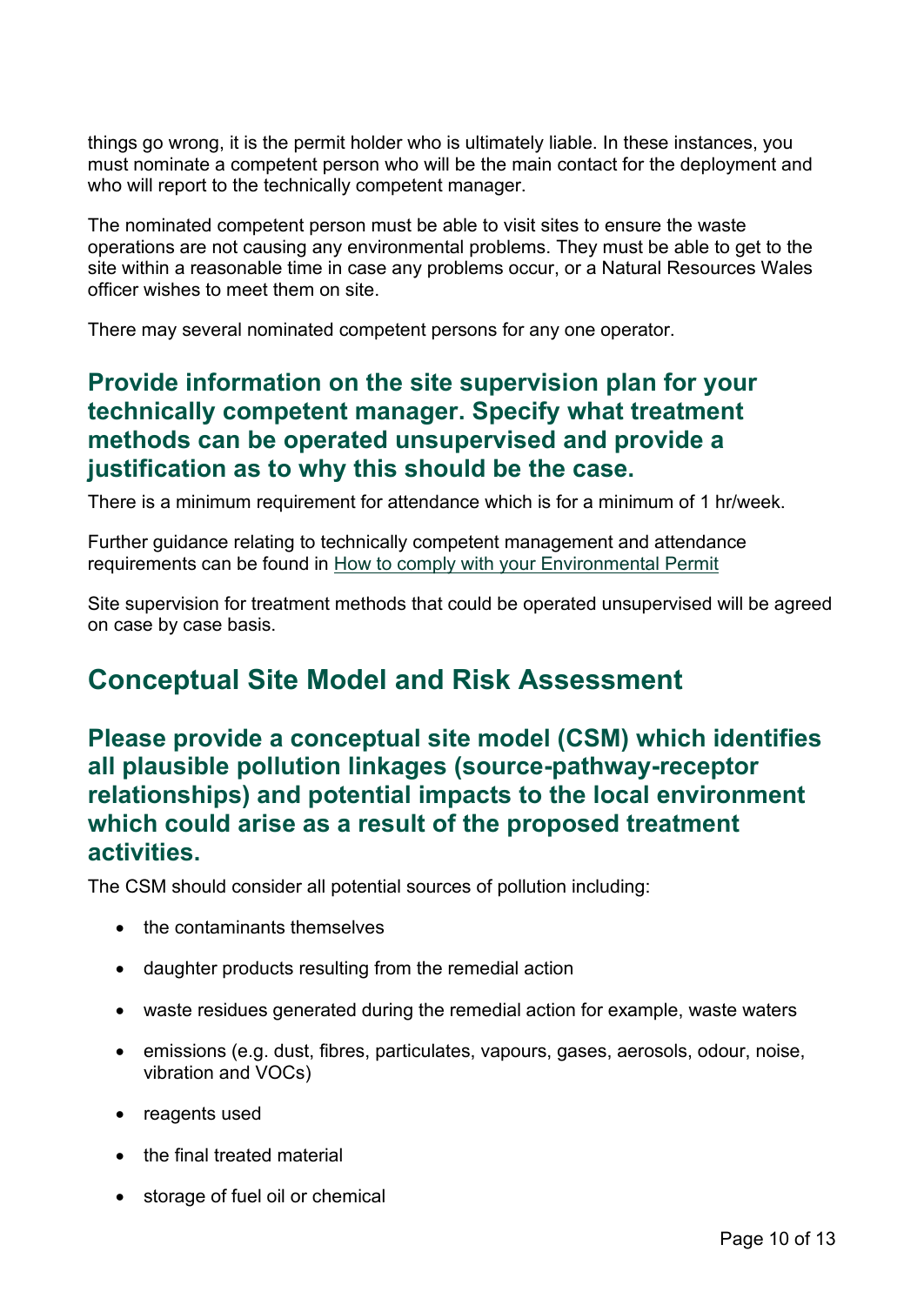things go wrong, it is the permit holder who is ultimately liable. In these instances, you must nominate a competent person who will be the main contact for the deployment and who will report to the technically competent manager.

The nominated competent person must be able to visit sites to ensure the waste operations are not causing any environmental problems. They must be able to get to the site within a reasonable time in case any problems occur, or a Natural Resources Wales officer wishes to meet them on site.

There may several nominated competent persons for any one operator.

#### <span id="page-9-0"></span>**Provide information on the site supervision plan for your technically competent manager. Specify what treatment methods can be operated unsupervised and provide a justification as to why this should be the case.**

There is a minimum requirement for attendance which is for a minimum of 1 hr/week.

Further guidance relating to technically competent management and attendance requirements can be found in [How to comply with your Environmental Permit](https://cdn.cyfoethnaturiol.cymru/media/2110/how-to-comply-with-your-environmental-permit.pdf?mode=pad&rnd=131467604540000000)

Site supervision for treatment methods that could be operated unsupervised will be agreed on case by case basis.

### <span id="page-9-1"></span>**Conceptual Site Model and Risk Assessment**

<span id="page-9-2"></span>**Please provide a conceptual site model (CSM) which identifies all plausible pollution linkages (source-pathway-receptor relationships) and potential impacts to the local environment which could arise as a result of the proposed treatment activities.** 

The CSM should consider all potential sources of pollution including:

- the contaminants themselves
- daughter products resulting from the remedial action
- waste residues generated during the remedial action for example, waste waters
- emissions (e.g. dust, fibres, particulates, vapours, gases, aerosols, odour, noise, vibration and VOCs)
- reagents used
- the final treated material
- storage of fuel oil or chemical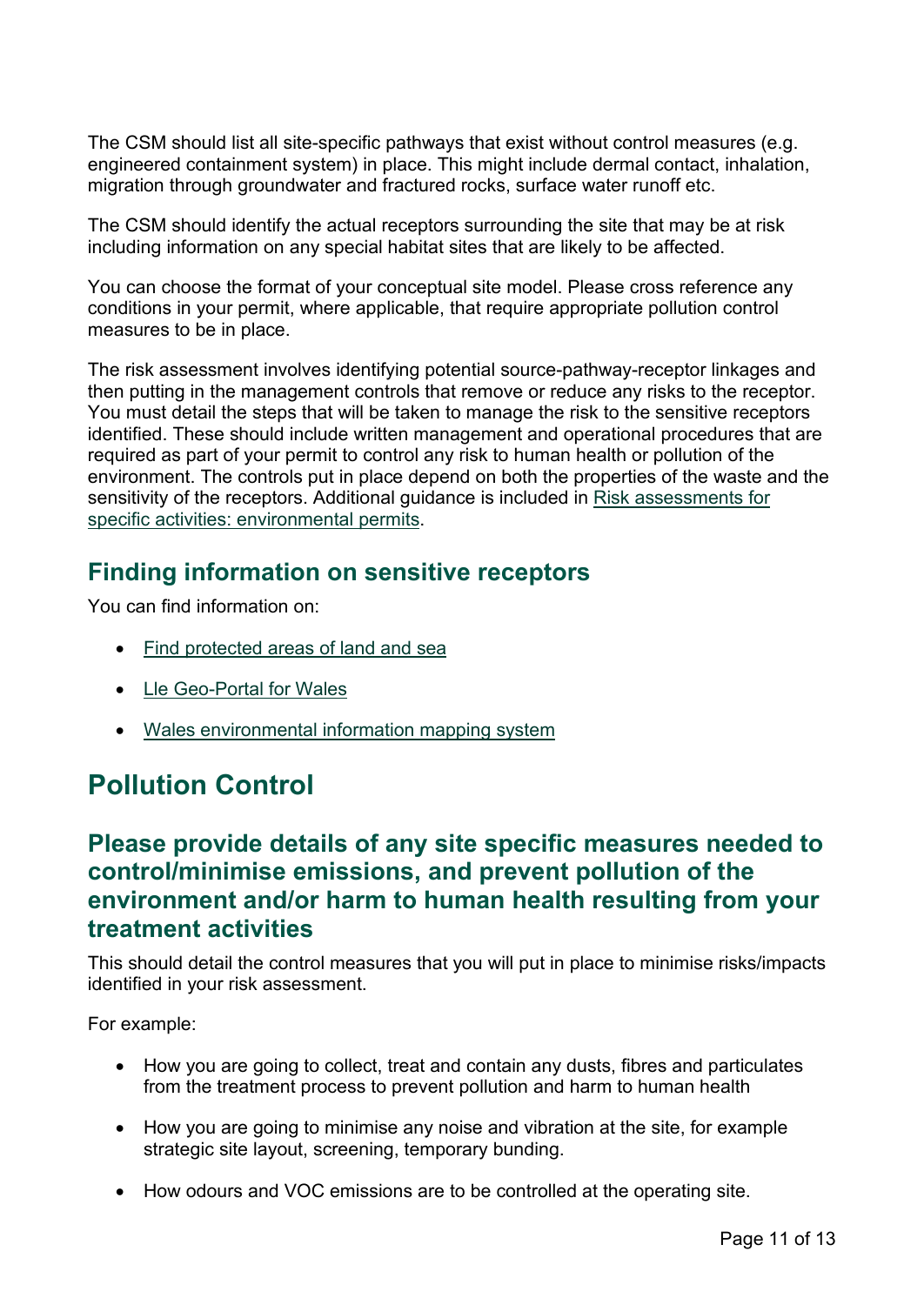The CSM should list all site-specific pathways that exist without control measures (e.g. engineered containment system) in place. This might include dermal contact, inhalation, migration through groundwater and fractured rocks, surface water runoff etc.

The CSM should identify the actual receptors surrounding the site that may be at risk including information on any special habitat sites that are likely to be affected.

You can choose the format of your conceptual site model. Please cross reference any conditions in your permit, where applicable, that require appropriate pollution control measures to be in place.

The risk assessment involves identifying potential source-pathway-receptor linkages and then putting in the management controls that remove or reduce any risks to the receptor. You must detail the steps that will be taken to manage the risk to the sensitive receptors identified. These should include written management and operational procedures that are required as part of your permit to control any risk to human health or pollution of the environment. The controls put in place depend on both the properties of the waste and the sensitivity of the receptors. Additional guidance is included in [Risk assessments for](https://www.gov.uk/government/collections/risk-assessments-for-specific-activities-environmental-permits)  [specific activities: environmental permits.](https://www.gov.uk/government/collections/risk-assessments-for-specific-activities-environmental-permits)

#### <span id="page-10-0"></span>**Finding information on sensitive receptors**

You can find information on:

- [Find protected areas of land and sea](https://naturalresources.wales/guidance-and-advice/environmental-topics/wildlife-and-biodiversity/protected-areas-of-land-and-seas/find-protected-areas-of-land-and-sea/?lang=en)
- [Lle Geo-Portal for Wales](https://lle.gov.wales/home?lang=en)
- [Wales environmental information mapping system](https://naturalresources.wales/evidence-and-data/maps/wales-environmental-information/?lang=en)

## <span id="page-10-1"></span>**Pollution Control**

#### <span id="page-10-2"></span>**Please provide details of any site specific measures needed to control/minimise emissions, and prevent pollution of the environment and/or harm to human health resulting from your treatment activities**

This should detail the control measures that you will put in place to minimise risks/impacts identified in your risk assessment.

For example:

- How you are going to collect, treat and contain any dusts, fibres and particulates from the treatment process to prevent pollution and harm to human health
- How you are going to minimise any noise and vibration at the site, for example strategic site layout, screening, temporary bunding.
- How odours and VOC emissions are to be controlled at the operating site.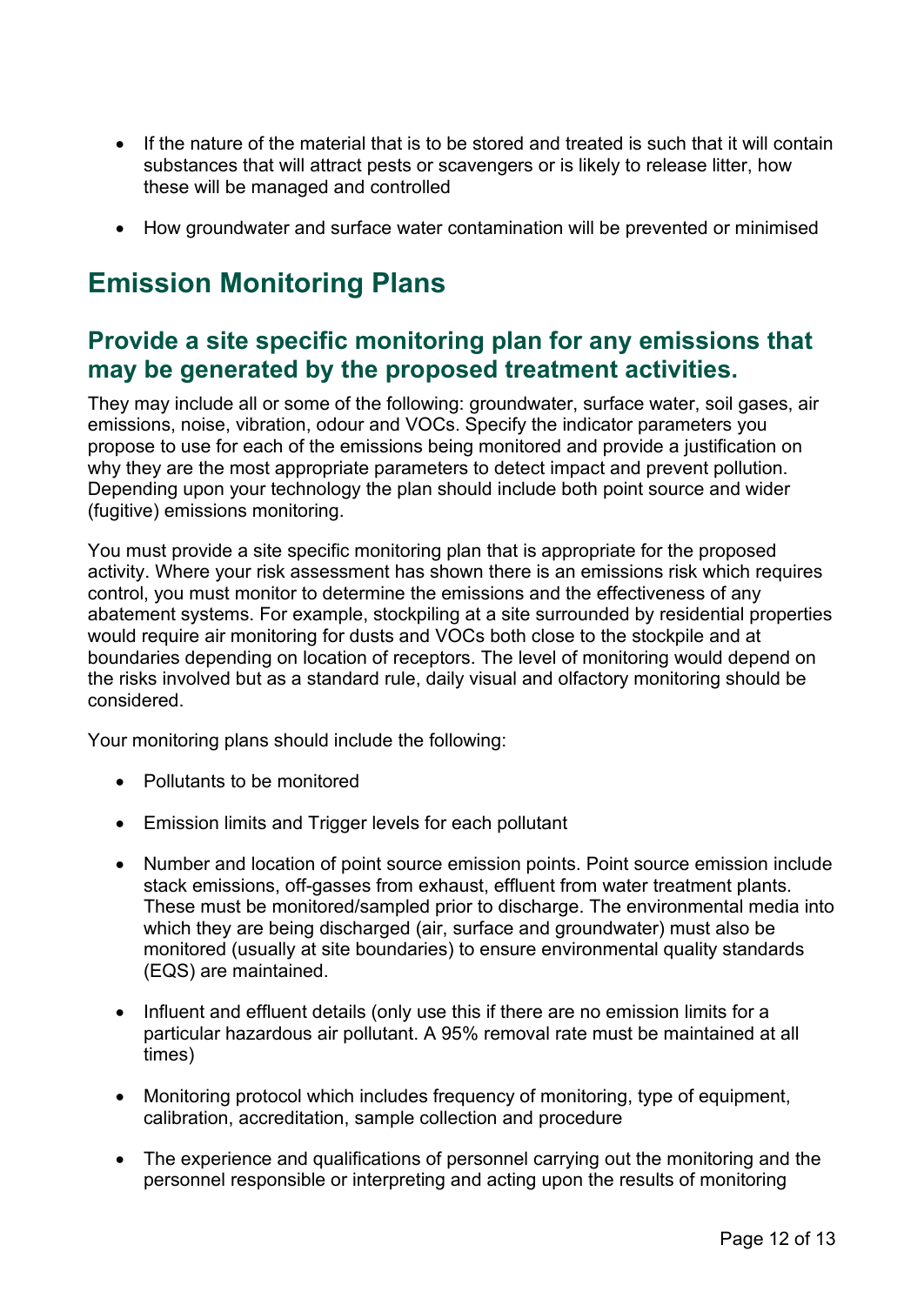- If the nature of the material that is to be stored and treated is such that it will contain substances that will attract pests or scavengers or is likely to release litter, how these will be managed and controlled
- How groundwater and surface water contamination will be prevented or minimised

## <span id="page-11-0"></span>**Emission Monitoring Plans**

#### <span id="page-11-1"></span>**Provide a site specific monitoring plan for any emissions that may be generated by the proposed treatment activities.**

They may include all or some of the following: groundwater, surface water, soil gases, air emissions, noise, vibration, odour and VOCs. Specify the indicator parameters you propose to use for each of the emissions being monitored and provide a justification on why they are the most appropriate parameters to detect impact and prevent pollution. Depending upon your technology the plan should include both point source and wider (fugitive) emissions monitoring.

You must provide a site specific monitoring plan that is appropriate for the proposed activity. Where your risk assessment has shown there is an emissions risk which requires control, you must monitor to determine the emissions and the effectiveness of any abatement systems. For example, stockpiling at a site surrounded by residential properties would require air monitoring for dusts and VOCs both close to the stockpile and at boundaries depending on location of receptors. The level of monitoring would depend on the risks involved but as a standard rule, daily visual and olfactory monitoring should be considered.

Your monitoring plans should include the following:

- Pollutants to be monitored
- Emission limits and Trigger levels for each pollutant
- Number and location of point source emission points. Point source emission include stack emissions, off-gasses from exhaust, effluent from water treatment plants. These must be monitored/sampled prior to discharge. The environmental media into which they are being discharged (air, surface and groundwater) must also be monitored (usually at site boundaries) to ensure environmental quality standards (EQS) are maintained.
- Influent and effluent details (only use this if there are no emission limits for a particular hazardous air pollutant. A 95% removal rate must be maintained at all times)
- Monitoring protocol which includes frequency of monitoring, type of equipment, calibration, accreditation, sample collection and procedure
- The experience and qualifications of personnel carrying out the monitoring and the personnel responsible or interpreting and acting upon the results of monitoring